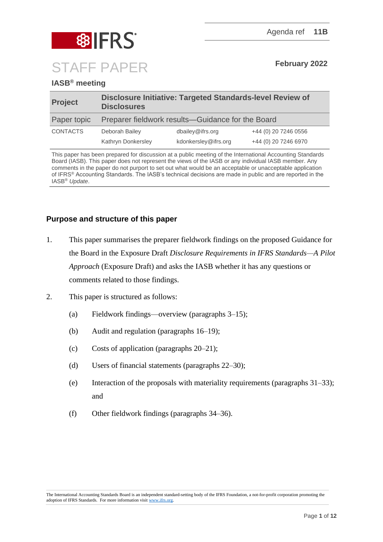

# **IASB® meeting**

| <b>Project</b>  | Disclosure Initiative: Targeted Standards-level Review of<br><b>Disclosures</b> |                      |                      |
|-----------------|---------------------------------------------------------------------------------|----------------------|----------------------|
| Paper topic     | Preparer fieldwork results—Guidance for the Board                               |                      |                      |
| <b>CONTACTS</b> | Deborah Bailey                                                                  | dbailey@ifrs.org     | +44 (0) 20 7246 0556 |
|                 | Kathryn Donkersley                                                              | kdonkersley@ifrs.org | +44 (0) 20 7246 6970 |

This paper has been prepared for discussion at a public meeting of the International Accounting Standards Board (IASB). This paper does not represent the views of the IASB or any individual IASB member. Any comments in the paper do not purport to set out what would be an acceptable or unacceptable application of IFRS® Accounting Standards. The IASB's technical decisions are made in public and are reported in the IASB® *Update*.

# **Purpose and structure of this paper**

- 1. This paper summarises the preparer fieldwork findings on the proposed Guidance for the Board in the Exposure Draft *Disclosure Requirements in IFRS Standards—A Pilot Approach* (Exposure Draft) and asks the IASB whether it has any questions or comments related to those findings.
- 2. This paper is structured as follows:
	- (a) Fieldwork findings—overview (paragraphs [3–](#page-1-0)[15\)](#page-5-0);
	- (b) Audit and regulation (paragraphs [16–](#page-5-1)[19\)](#page-6-0);
	- (c) Costs of application (paragraphs [20–](#page-6-1)[21\)](#page-7-0);
	- (d) Users of financial statements (paragraphs [22–](#page-8-0)[30\)](#page-10-0);
	- (e) Interaction of the proposals with materiality requirements (paragraphs  $31-33$ ); and
	- (f) Other fieldwork findings (paragraphs [34–](#page-11-1)[36\)](#page-11-2).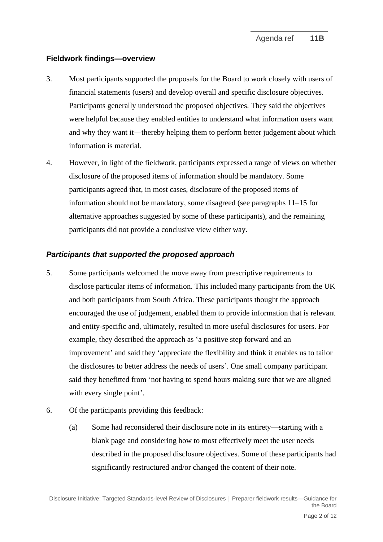#### **Fieldwork findings—overview**

- <span id="page-1-0"></span>3. Most participants supported the proposals for the Board to work closely with users of financial statements (users) and develop overall and specific disclosure objectives. Participants generally understood the proposed objectives. They said the objectives were helpful because they enabled entities to understand what information users want and why they want it—thereby helping them to perform better judgement about which information is material.
- 4. However, in light of the fieldwork, participants expressed a range of views on whether disclosure of the proposed items of information should be mandatory. Some participants agreed that, in most cases, disclosure of the proposed items of information should not be mandatory, some disagreed (see paragraphs [11–](#page-3-0)[15](#page-5-0) for alternative approaches suggested by some of these participants), and the remaining participants did not provide a conclusive view either way.

#### *Participants that supported the proposed approach*

- 5. Some participants welcomed the move away from prescriptive requirements to disclose particular items of information. This included many participants from the UK and both participants from South Africa. These participants thought the approach encouraged the use of judgement, enabled them to provide information that is relevant and entity-specific and, ultimately, resulted in more useful disclosures for users. For example, they described the approach as 'a positive step forward and an improvement' and said they 'appreciate the flexibility and think it enables us to tailor the disclosures to better address the needs of users'. One small company participant said they benefitted from 'not having to spend hours making sure that we are aligned with every single point'.
- 6. Of the participants providing this feedback:
	- (a) Some had reconsidered their disclosure note in its entirety—starting with a blank page and considering how to most effectively meet the user needs described in the proposed disclosure objectives. Some of these participants had significantly restructured and/or changed the content of their note.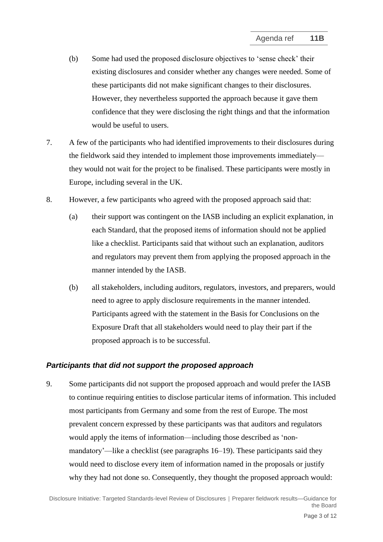- (b) Some had used the proposed disclosure objectives to 'sense check' their existing disclosures and consider whether any changes were needed. Some of these participants did not make significant changes to their disclosures. However, they nevertheless supported the approach because it gave them confidence that they were disclosing the right things and that the information would be useful to users.
- 7. A few of the participants who had identified improvements to their disclosures during the fieldwork said they intended to implement those improvements immediately they would not wait for the project to be finalised. These participants were mostly in Europe, including several in the UK.
- 8. However, a few participants who agreed with the proposed approach said that:
	- (a) their support was contingent on the IASB including an explicit explanation, in each Standard, that the proposed items of information should not be applied like a checklist. Participants said that without such an explanation, auditors and regulators may prevent them from applying the proposed approach in the manner intended by the IASB.
	- (b) all stakeholders, including auditors, regulators, investors, and preparers, would need to agree to apply disclosure requirements in the manner intended. Participants agreed with the statement in the Basis for Conclusions on the Exposure Draft that all stakeholders would need to play their part if the proposed approach is to be successful.

## *Participants that did not support the proposed approach*

9. Some participants did not support the proposed approach and would prefer the IASB to continue requiring entities to disclose particular items of information. This included most participants from Germany and some from the rest of Europe. The most prevalent concern expressed by these participants was that auditors and regulators would apply the items of information—including those described as 'nonmandatory'—like a checklist (see paragraphs [16](#page-5-1)[–19\)](#page-6-0). These participants said they would need to disclose every item of information named in the proposals or justify why they had not done so. Consequently, they thought the proposed approach would: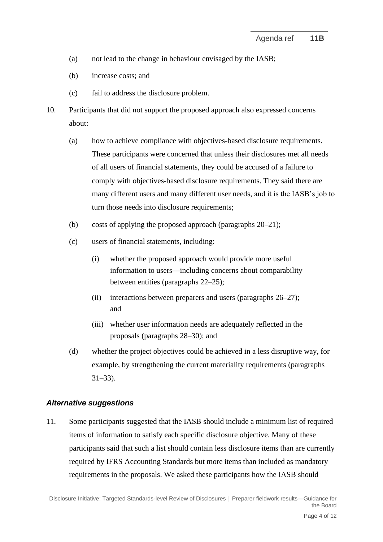- (a) not lead to the change in behaviour envisaged by the IASB;
- (b) increase costs; and
- (c) fail to address the disclosure problem.
- 10. Participants that did not support the proposed approach also expressed concerns about:
	- (a) how to achieve compliance with objectives-based disclosure requirements. These participants were concerned that unless their disclosures met all needs of all users of financial statements, they could be accused of a failure to comply with objectives-based disclosure requirements. They said there are many different users and many different user needs, and it is the IASB's job to turn those needs into disclosure requirements;
	- (b) costs of applying the proposed approach (paragraphs [20](#page-6-1)[–21\)](#page-7-0);
	- (c) users of financial statements, including:
		- (i) whether the proposed approach would provide more useful information to users—including concerns about comparability between entities (paragraphs [22](#page-8-0)[–25\)](#page-9-0);
		- (ii) interactions between preparers and users (paragraphs [26–](#page-9-1)[27\)](#page-10-2); and
		- (iii) whether user information needs are adequately reflected in the proposals (paragraphs [28–](#page-10-3)[30\)](#page-10-0); and
	- (d) whether the project objectives could be achieved in a less disruptive way, for example, by strengthening the current materiality requirements (paragraphs [31–](#page-10-4)[33\)](#page-11-0).

## *Alternative suggestions*

<span id="page-3-0"></span>11. Some participants suggested that the IASB should include a minimum list of required items of information to satisfy each specific disclosure objective. Many of these participants said that such a list should contain less disclosure items than are currently required by IFRS Accounting Standards but more items than included as mandatory requirements in the proposals. We asked these participants how the IASB should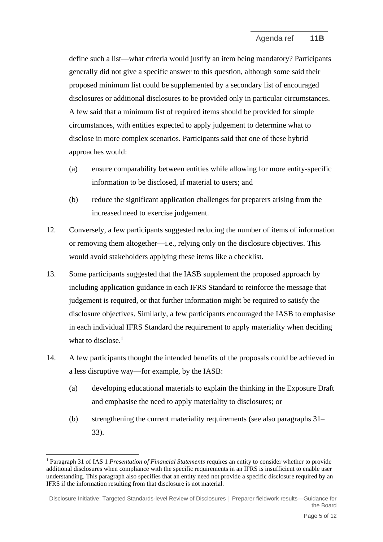define such a list—what criteria would justify an item being mandatory? Participants generally did not give a specific answer to this question, although some said their proposed minimum list could be supplemented by a secondary list of encouraged disclosures or additional disclosures to be provided only in particular circumstances. A few said that a minimum list of required items should be provided for simple circumstances, with entities expected to apply judgement to determine what to disclose in more complex scenarios. Participants said that one of these hybrid approaches would:

- (a) ensure comparability between entities while allowing for more entity-specific information to be disclosed, if material to users; and
- (b) reduce the significant application challenges for preparers arising from the increased need to exercise judgement.
- 12. Conversely, a few participants suggested reducing the number of items of information or removing them altogether—i.e., relying only on the disclosure objectives. This would avoid stakeholders applying these items like a checklist.
- 13. Some participants suggested that the IASB supplement the proposed approach by including application guidance in each IFRS Standard to reinforce the message that judgement is required, or that further information might be required to satisfy the disclosure objectives. Similarly, a few participants encouraged the IASB to emphasise in each individual IFRS Standard the requirement to apply materiality when deciding what to disclose.<sup>1</sup>
- 14. A few participants thought the intended benefits of the proposals could be achieved in a less disruptive way—for example, by the IASB:
	- (a) developing educational materials to explain the thinking in the Exposure Draft and emphasise the need to apply materiality to disclosures; or
	- (b) strengthening the current materiality requirements (see also paragraphs [31–](#page-10-4) [33\)](#page-11-0).

<sup>1</sup> Paragraph 31 of IAS 1 *Presentation of Financial Statements* requires an entity to consider whether to provide additional disclosures when compliance with the specific requirements in an IFRS is insufficient to enable user understanding. This paragraph also specifies that an entity need not provide a specific disclosure required by an IFRS if the information resulting from that disclosure is not material.

Disclosure Initiative: Targeted Standards-level Review of Disclosures **│** Preparer fieldwork results—Guidance for the Board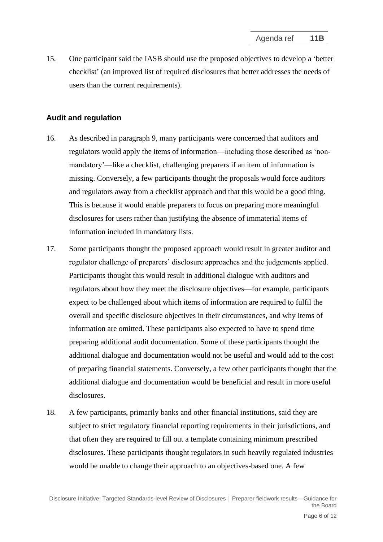<span id="page-5-0"></span>15. One participant said the IASB should use the proposed objectives to develop a 'better checklist' (an improved list of required disclosures that better addresses the needs of users than the current requirements).

#### **Audit and regulation**

- <span id="page-5-1"></span>16. As described in paragraph 9, many participants were concerned that auditors and regulators would apply the items of information—including those described as 'nonmandatory'—like a checklist, challenging preparers if an item of information is missing. Conversely, a few participants thought the proposals would force auditors and regulators away from a checklist approach and that this would be a good thing. This is because it would enable preparers to focus on preparing more meaningful disclosures for users rather than justifying the absence of immaterial items of information included in mandatory lists.
- 17. Some participants thought the proposed approach would result in greater auditor and regulator challenge of preparers' disclosure approaches and the judgements applied. Participants thought this would result in additional dialogue with auditors and regulators about how they meet the disclosure objectives—for example, participants expect to be challenged about which items of information are required to fulfil the overall and specific disclosure objectives in their circumstances, and why items of information are omitted. These participants also expected to have to spend time preparing additional audit documentation. Some of these participants thought the additional dialogue and documentation would not be useful and would add to the cost of preparing financial statements. Conversely, a few other participants thought that the additional dialogue and documentation would be beneficial and result in more useful disclosures.
- 18. A few participants, primarily banks and other financial institutions, said they are subject to strict regulatory financial reporting requirements in their jurisdictions, and that often they are required to fill out a template containing minimum prescribed disclosures. These participants thought regulators in such heavily regulated industries would be unable to change their approach to an objectives-based one. A few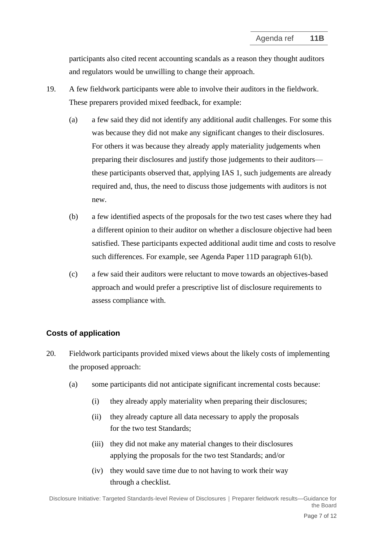participants also cited recent accounting scandals as a reason they thought auditors and regulators would be unwilling to change their approach.

- <span id="page-6-0"></span>19. A few fieldwork participants were able to involve their auditors in the fieldwork. These preparers provided mixed feedback, for example:
	- (a) a few said they did not identify any additional audit challenges. For some this was because they did not make any significant changes to their disclosures. For others it was because they already apply materiality judgements when preparing their disclosures and justify those judgements to their auditors these participants observed that, applying IAS 1, such judgements are already required and, thus, the need to discuss those judgements with auditors is not new.
	- (b) a few identified aspects of the proposals for the two test cases where they had a different opinion to their auditor on whether a disclosure objective had been satisfied. These participants expected additional audit time and costs to resolve such differences. For example, see Agenda Paper 11D paragraph 61(b).
	- (c) a few said their auditors were reluctant to move towards an objectives-based approach and would prefer a prescriptive list of disclosure requirements to assess compliance with.

## **Costs of application**

- <span id="page-6-1"></span>20. Fieldwork participants provided mixed views about the likely costs of implementing the proposed approach:
	- (a) some participants did not anticipate significant incremental costs because:
		- (i) they already apply materiality when preparing their disclosures;
		- (ii) they already capture all data necessary to apply the proposals for the two test Standards;
		- (iii) they did not make any material changes to their disclosures applying the proposals for the two test Standards; and/or
		- (iv) they would save time due to not having to work their way through a checklist.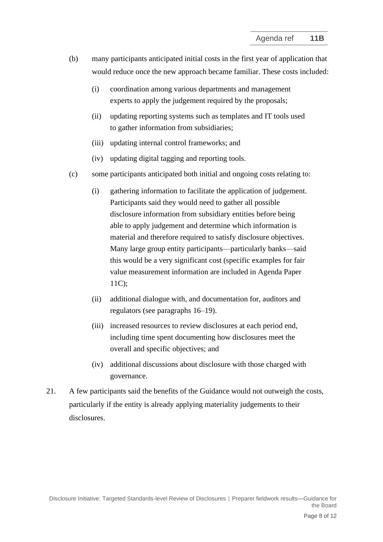- (b) many participants anticipated initial costs in the first year of application that would reduce once the new approach became familiar. These costs included:
	- (i) coordination among various departments and management experts to apply the judgement required by the proposals;
	- (ii) updating reporting systems such as templates and IT tools used to gather information from subsidiaries;
	- (iii) updating internal control frameworks; and
	- (iv) updating digital tagging and reporting tools.
- (c) some participants anticipated both initial and ongoing costs relating to:
	- (i) gathering information to facilitate the application of judgement. Participants said they would need to gather all possible disclosure information from subsidiary entities before being able to apply judgement and determine which information is material and therefore required to satisfy disclosure objectives. Many large group entity participants—particularly banks—said this would be a very significant cost (specific examples for fair value measurement information are included in Agenda Paper 11C);
	- (ii) additional dialogue with, and documentation for, auditors and regulators (see paragraphs [16](#page-5-1)[–19\)](#page-6-0).
	- (iii) increased resources to review disclosures at each period end, including time spent documenting how disclosures meet the overall and specific objectives; and
	- (iv) additional discussions about disclosure with those charged with governance.
- <span id="page-7-0"></span>21. A few participants said the benefits of the Guidance would not outweigh the costs, particularly if the entity is already applying materiality judgements to their disclosures.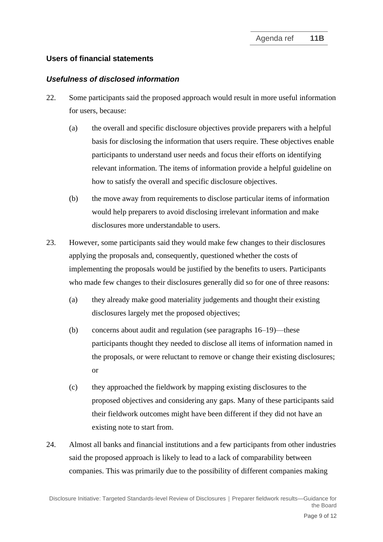## **Users of financial statements**

#### *Usefulness of disclosed information*

- <span id="page-8-0"></span>22. Some participants said the proposed approach would result in more useful information for users, because:
	- (a) the overall and specific disclosure objectives provide preparers with a helpful basis for disclosing the information that users require. These objectives enable participants to understand user needs and focus their efforts on identifying relevant information. The items of information provide a helpful guideline on how to satisfy the overall and specific disclosure objectives.
	- (b) the move away from requirements to disclose particular items of information would help preparers to avoid disclosing irrelevant information and make disclosures more understandable to users.
- 23. However, some participants said they would make few changes to their disclosures applying the proposals and, consequently, questioned whether the costs of implementing the proposals would be justified by the benefits to users. Participants who made few changes to their disclosures generally did so for one of three reasons:
	- (a) they already make good materiality judgements and thought their existing disclosures largely met the proposed objectives;
	- (b) concerns about audit and regulation (see paragraphs [16](#page-5-1)[–19\)](#page-6-0)—these participants thought they needed to disclose all items of information named in the proposals, or were reluctant to remove or change their existing disclosures; or
	- (c) they approached the fieldwork by mapping existing disclosures to the proposed objectives and considering any gaps. Many of these participants said their fieldwork outcomes might have been different if they did not have an existing note to start from.
- 24. Almost all banks and financial institutions and a few participants from other industries said the proposed approach is likely to lead to a lack of comparability between companies. This was primarily due to the possibility of different companies making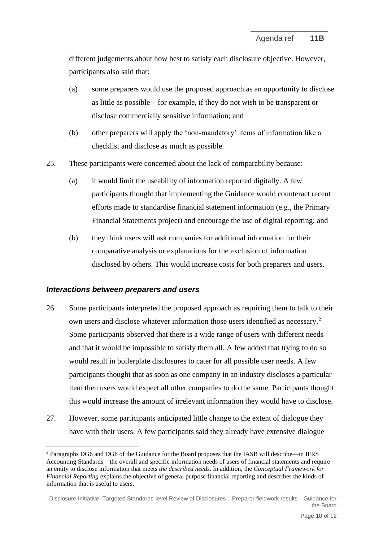different judgements about how best to satisfy each disclosure objective. However, participants also said that:

- (a) some preparers would use the proposed approach as an opportunity to disclose as little as possible—for example, if they do not wish to be transparent or disclose commercially sensitive information; and
- (b) other preparers will apply the 'non-mandatory' items of information like a checklist and disclose as much as possible.
- <span id="page-9-0"></span>25. These participants were concerned about the lack of comparability because:
	- (a) it would limit the useability of information reported digitally. A few participants thought that implementing the Guidance would counteract recent efforts made to standardise financial statement information (e.g., the Primary Financial Statements project) and encourage the use of digital reporting; and
	- (b) they think users will ask companies for additional information for their comparative analysis or explanations for the exclusion of information disclosed by others. This would increase costs for both preparers and users.

#### *Interactions between preparers and users*

- <span id="page-9-1"></span>26. Some participants interpreted the proposed approach as requiring them to talk to their own users and disclose whatever information those users identified as necessary.<sup>2</sup> Some participants observed that there is a wide range of users with different needs and that it would be impossible to satisfy them all. A few added that trying to do so would result in boilerplate disclosures to cater for all possible user needs. A few participants thought that as soon as one company in an industry discloses a particular item then users would expect all other companies to do the same. Participants thought this would increase the amount of irrelevant information they would have to disclose.
- 27. However, some participants anticipated little change to the extent of dialogue they have with their users. A few participants said they already have extensive dialogue

<sup>2</sup> Paragraphs DG6 and DG8 of the Guidance for the Board proposes that the IASB will describe—in IFRS Accounting Standards—the overall and specific information needs of users of financial statements and require an entity to disclose information that meets *the described needs*. In addition, the *Conceptual Framework for Financial Reporting* explains the objective of general purpose financial reporting and describes the kinds of information that is useful to users.

Disclosure Initiative: Targeted Standards-level Review of Disclosures **│** Preparer fieldwork results—Guidance for the Board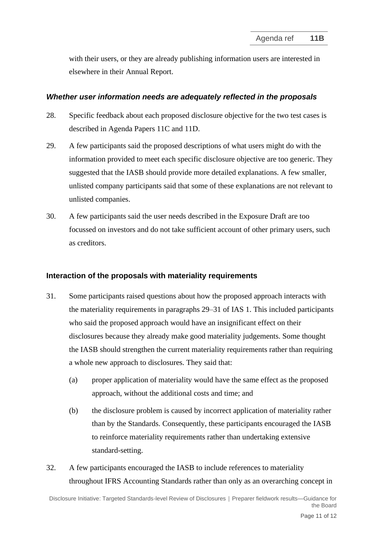<span id="page-10-2"></span>with their users, or they are already publishing information users are interested in elsewhere in their Annual Report.

#### *Whether user information needs are adequately reflected in the proposals*

- <span id="page-10-3"></span>28. Specific feedback about each proposed disclosure objective for the two test cases is described in Agenda Papers 11C and 11D.
- 29. A few participants said the proposed descriptions of what users might do with the information provided to meet each specific disclosure objective are too generic. They suggested that the IASB should provide more detailed explanations. A few smaller, unlisted company participants said that some of these explanations are not relevant to unlisted companies.
- <span id="page-10-0"></span>30. A few participants said the user needs described in the Exposure Draft are too focussed on investors and do not take sufficient account of other primary users, such as creditors.

## **Interaction of the proposals with materiality requirements**

- <span id="page-10-4"></span><span id="page-10-1"></span>31. Some participants raised questions about how the proposed approach interacts with the materiality requirements in paragraphs 29–31 of IAS 1. This included participants who said the proposed approach would have an insignificant effect on their disclosures because they already make good materiality judgements. Some thought the IASB should strengthen the current materiality requirements rather than requiring a whole new approach to disclosures. They said that:
	- (a) proper application of materiality would have the same effect as the proposed approach, without the additional costs and time; and
	- (b) the disclosure problem is caused by incorrect application of materiality rather than by the Standards. Consequently, these participants encouraged the IASB to reinforce materiality requirements rather than undertaking extensive standard-setting.
- 32. A few participants encouraged the IASB to include references to materiality throughout IFRS Accounting Standards rather than only as an overarching concept in